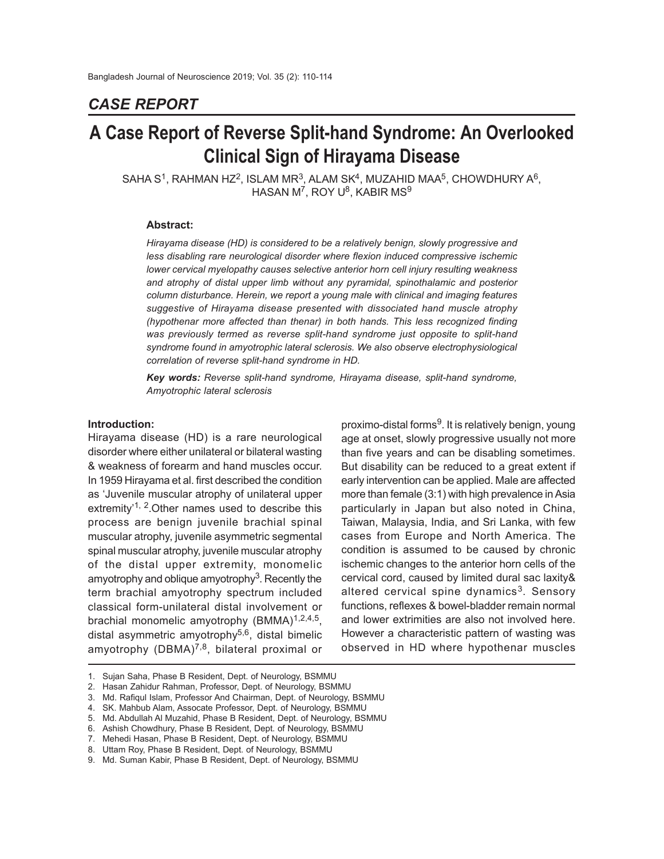# *CASE REPORT*

# **A Case Report of Reverse Split-hand Syndrome: An Overlooked Clinical Sign of Hirayama Disease**

SAHA S<sup>1</sup>, RAHMAN HZ<sup>2</sup>, ISLAM MR<sup>3</sup>, ALAM SK<sup>4</sup>, MUZAHID MAA<sup>5</sup>, CHOWDHURY A<sup>6</sup>, <code>HASAN</code> M $^7$ , ROY U $^8$ , KABIR MS $^9$ 

#### **Abstract:**

*Hirayama disease (HD) is considered to be a relatively benign, slowly progressive and less disabling rare neurological disorder where flexion induced compressive ischemic lower cervical myelopathy causes selective anterior horn cell injury resulting weakness and atrophy of distal upper limb without any pyramidal, spinothalamic and posterior column disturbance. Herein, we report a young male with clinical and imaging features suggestive of Hirayama disease presented with dissociated hand muscle atrophy (hypothenar more affected than thenar) in both hands. This less recognized finding was previously termed as reverse split-hand syndrome just opposite to split-hand syndrome found in amyotrophic lateral sclerosis. We also observe electrophysiological correlation of reverse split-hand syndrome in HD.*

*Key words: Reverse split-hand syndrome, Hirayama disease, split-hand syndrome, Amyotrophic lateral sclerosis*

#### **Introduction:**

Hirayama disease (HD) is a rare neurological disorder where either unilateral or bilateral wasting & weakness of forearm and hand muscles occur. In 1959 Hirayama et al. first described the condition as 'Juvenile muscular atrophy of unilateral upper extremity'<sup>1, 2</sup>. Other names used to describe this process are benign juvenile brachial spinal muscular atrophy, juvenile asymmetric segmental spinal muscular atrophy, juvenile muscular atrophy of the distal upper extremity, monomelic amyotrophy and oblique amyotrophy<sup>3</sup>. Recently the term brachial amyotrophy spectrum included classical form-unilateral distal involvement or brachial monomelic amyotrophy (BMMA)<sup>1,2,4,5</sup>, distal asymmetric amyotrophy<sup>5,6</sup>, distal bimelic amyotrophy  $(DBMA)^{7,8}$ , bilateral proximal or

proximo-distal forms<sup>9</sup>. It is relatively benign, young age at onset, slowly progressive usually not more than five years and can be disabling sometimes. But disability can be reduced to a great extent if early intervention can be applied. Male are affected more than female (3:1) with high prevalence in Asia particularly in Japan but also noted in China, Taiwan, Malaysia, India, and Sri Lanka, with few cases from Europe and North America. The condition is assumed to be caused by chronic ischemic changes to the anterior horn cells of the cervical cord, caused by limited dural sac laxity& altered cervical spine dynamics<sup>3</sup>. Sensory functions, reflexes & bowel-bladder remain normal and lower extrimities are also not involved here. However a characteristic pattern of wasting was observed in HD where hypothenar muscles

<sup>1.</sup> Sujan Saha, Phase B Resident, Dept. of Neurology, BSMMU

<sup>2.</sup> Hasan Zahidur Rahman, Professor, Dept. of Neurology, BSMMU

<sup>3.</sup> Md. Rafiqul Islam, Professor And Chairman, Dept. of Neurology, BSMMU

<sup>4.</sup> SK. Mahbub Alam, Assocate Professor, Dept. of Neurology, BSMMU

<sup>5.</sup> Md. Abdullah Al Muzahid, Phase B Resident, Dept. of Neurology, BSMMU

<sup>6.</sup> Ashish Chowdhury, Phase B Resident, Dept. of Neurology, BSMMU

<sup>7.</sup> Mehedi Hasan, Phase B Resident, Dept. of Neurology, BSMMU

<sup>8.</sup> Uttam Roy, Phase B Resident, Dept. of Neurology, BSMMU

<sup>9.</sup> Md. Suman Kabir, Phase B Resident, Dept. of Neurology, BSMMU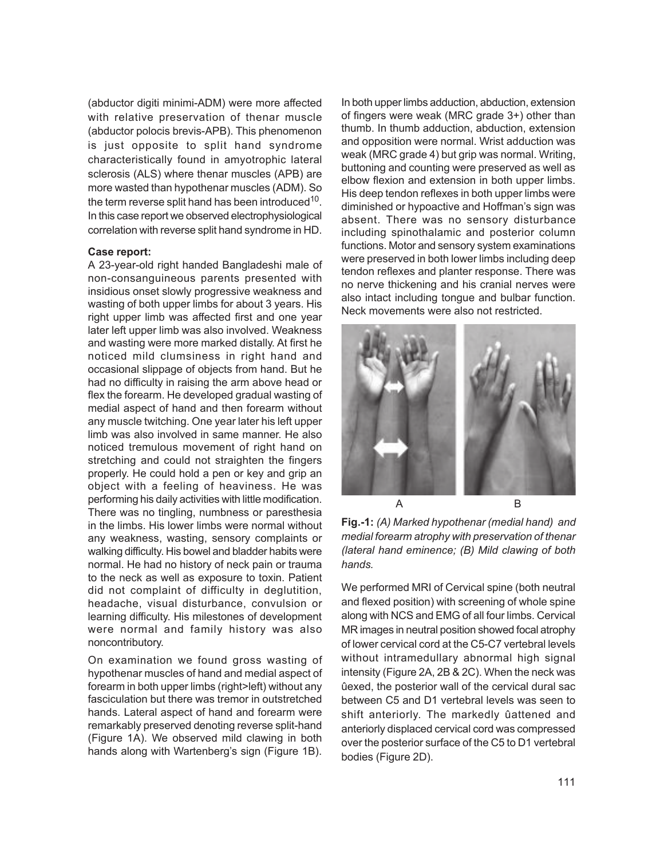(abductor digiti minimi-ADM) were more affected with relative preservation of thenar muscle (abductor polocis brevis-APB). This phenomenon is just opposite to split hand syndrome characteristically found in amyotrophic lateral sclerosis (ALS) where thenar muscles (APB) are more wasted than hypothenar muscles (ADM). So the term reverse split hand has been introduced $^{10}$ . In this case report we observed electrophysiological correlation with reverse split hand syndrome in HD.

#### **Case report:**

A 23-year-old right handed Bangladeshi male of non-consanguineous parents presented with insidious onset slowly progressive weakness and wasting of both upper limbs for about 3 years. His right upper limb was affected first and one year later left upper limb was also involved. Weakness and wasting were more marked distally. At first he noticed mild clumsiness in right hand and occasional slippage of objects from hand. But he had no difficulty in raising the arm above head or flex the forearm. He developed gradual wasting of medial aspect of hand and then forearm without any muscle twitching. One year later his left upper limb was also involved in same manner. He also noticed tremulous movement of right hand on stretching and could not straighten the fingers properly. He could hold a pen or key and grip an object with a feeling of heaviness. He was performing his daily activities with little modification. There was no tingling, numbness or paresthesia in the limbs. His lower limbs were normal without any weakness, wasting, sensory complaints or walking difficulty. His bowel and bladder habits were normal. He had no history of neck pain or trauma to the neck as well as exposure to toxin. Patient did not complaint of difficulty in deglutition, headache, visual disturbance, convulsion or learning difficulty. His milestones of development were normal and family history was also noncontributory.

On examination we found gross wasting of hypothenar muscles of hand and medial aspect of forearm in both upper limbs (right>left) without any fasciculation but there was tremor in outstretched hands. Lateral aspect of hand and forearm were remarkably preserved denoting reverse split-hand (Figure 1A). We observed mild clawing in both hands along with Wartenberg's sign (Figure 1B).

In both upper limbs adduction, abduction, extension of fingers were weak (MRC grade 3+) other than thumb. In thumb adduction, abduction, extension and opposition were normal. Wrist adduction was weak (MRC grade 4) but grip was normal. Writing, buttoning and counting were preserved as well as elbow flexion and extension in both upper limbs. His deep tendon reflexes in both upper limbs were diminished or hypoactive and Hoffman's sign was absent. There was no sensory disturbance including spinothalamic and posterior column functions. Motor and sensory system examinations were preserved in both lower limbs including deep tendon reflexes and planter response. There was no nerve thickening and his cranial nerves were also intact including tongue and bulbar function. Neck movements were also not restricted.



**Fig.-1:** *(A) Marked hypothenar (medial hand) and medial forearm atrophy with preservation of thenar (lateral hand eminence; (B) Mild clawing of both hands.*

We performed MRI of Cervical spine (both neutral and flexed position) with screening of whole spine along with NCS and EMG of all four limbs. Cervical MR images in neutral position showed focal atrophy of lower cervical cord at the C5-C7 vertebral levels without intramedullary abnormal high signal intensity (Figure 2A, 2B & 2C). When the neck was ûexed, the posterior wall of the cervical dural sac between C5 and D1 vertebral levels was seen to shift anteriorly. The markedly ûattened and anteriorly displaced cervical cord was compressed over the posterior surface of the C5 to D1 vertebral bodies (Figure 2D).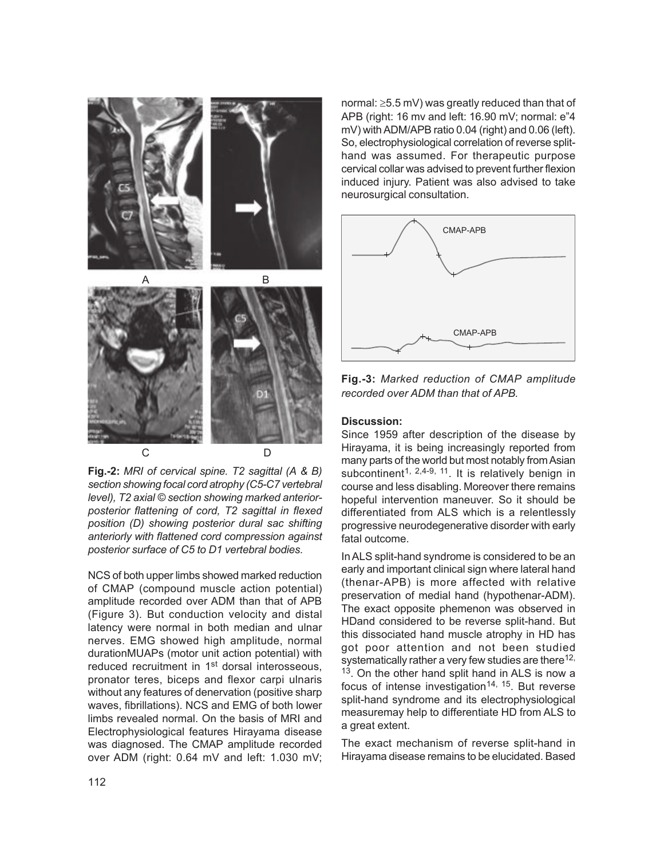

**Fig.-2:** *MRI of cervical spine. T2 sagittal (A & B) section showing focal cord atrophy (C5-C7 vertebral level), T2 axial © section showing marked anteriorposterior flattening of cord, T2 sagittal in flexed position (D) showing posterior dural sac shifting anteriorly with flattened cord compression against posterior surface of C5 to D1 vertebral bodies.*

NCS of both upper limbs showed marked reduction of CMAP (compound muscle action potential) amplitude recorded over ADM than that of APB (Figure 3). But conduction velocity and distal latency were normal in both median and ulnar nerves. EMG showed high amplitude, normal durationMUAPs (motor unit action potential) with reduced recruitment in 1<sup>st</sup> dorsal interosseous, pronator teres, biceps and flexor carpi ulnaris without any features of denervation (positive sharp waves, fibrillations). NCS and EMG of both lower limbs revealed normal. On the basis of MRI and Electrophysiological features Hirayama disease was diagnosed. The CMAP amplitude recorded over ADM (right: 0.64 mV and left: 1.030 mV;

normal: ≥5.5 mV) was greatly reduced than that of APB (right: 16 mv and left: 16.90 mV; normal: e"4 mV) with ADM/APB ratio 0.04 (right) and 0.06 (left). So, electrophysiological correlation of reverse splithand was assumed. For therapeutic purpose cervical collar was advised to prevent further flexion induced injury. Patient was also advised to take neurosurgical consultation.



**Fig.-3:** *Marked reduction of CMAP amplitude recorded over ADM than that of APB.*

# **Discussion:**

Since 1959 after description of the disease by Hirayama, it is being increasingly reported from many parts of the world but most notably from Asian subcontinent<sup>1, 2,4-9, 11</sup>. It is relatively benign in course and less disabling. Moreover there remains hopeful intervention maneuver. So it should be differentiated from ALS which is a relentlessly progressive neurodegenerative disorder with early fatal outcome.

In ALS split-hand syndrome is considered to be an early and important clinical sign where lateral hand (thenar-APB) is more affected with relative preservation of medial hand (hypothenar-ADM). The exact opposite phemenon was observed in HDand considered to be reverse split-hand. But this dissociated hand muscle atrophy in HD has got poor attention and not been studied systematically rather a very few studies are there<sup>12,</sup> <sup>13</sup>. On the other hand split hand in ALS is now a focus of intense investigation<sup>14, 15</sup>. But reverse split-hand syndrome and its electrophysiological measuremay help to differentiate HD from ALS to a great extent.

The exact mechanism of reverse split-hand in Hirayama disease remains to be elucidated. Based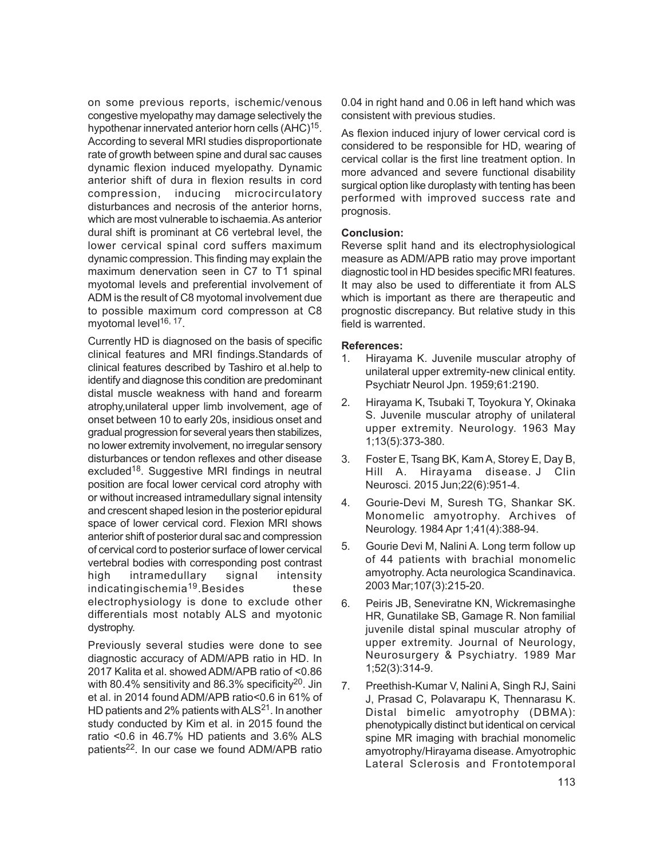on some previous reports, ischemic/venous congestive myelopathy may damage selectively the hypothenar innervated anterior horn cells (AHC)<sup>15</sup>. According to several MRI studies disproportionate rate of growth between spine and dural sac causes dynamic flexion induced myelopathy. Dynamic anterior shift of dura in flexion results in cord compression, inducing microcirculatory disturbances and necrosis of the anterior horns, which are most vulnerable to ischaemia. As anterior dural shift is prominant at C6 vertebral level, the lower cervical spinal cord suffers maximum dynamic compression. This finding may explain the maximum denervation seen in C7 to T1 spinal myotomal levels and preferential involvement of ADM is the result of C8 myotomal involvement due to possible maximum cord compresson at C8 myotomal level<sup>16, 17</sup>.

Currently HD is diagnosed on the basis of specific clinical features and MRI findings.Standards of clinical features described by Tashiro et al.help to identify and diagnose this condition are predominant distal muscle weakness with hand and forearm atrophy,unilateral upper limb involvement, age of onset between 10 to early 20s, insidious onset and gradual progression for several years then stabilizes, no lower extremity involvement, no irregular sensory disturbances or tendon reflexes and other disease excluded<sup>18</sup>. Suggestive MRI findings in neutral position are focal lower cervical cord atrophy with or without increased intramedullary signal intensity and crescent shaped lesion in the posterior epidural space of lower cervical cord. Flexion MRI shows anterior shift of posterior dural sac and compression of cervical cord to posterior surface of lower cervical vertebral bodies with corresponding post contrast high intramedullary signal intensity indicatingischemia<sup>19</sup>.Besides these electrophysiology is done to exclude other differentials most notably ALS and myotonic dystrophy.

Previously several studies were done to see diagnostic accuracy of ADM/APB ratio in HD. In 2017 Kalita et al. showed ADM/APB ratio of <0.86 with 80.4% sensitivity and 86.3% specificity<sup>20</sup>. Jin et al. in 2014 found ADM/APB ratio<0.6 in 61% of HD patients and 2% patients with  $ALS<sup>21</sup>$ . In another study conducted by Kim et al. in 2015 found the ratio <0.6 in 46.7% HD patients and 3.6% ALS patients<sup>22</sup>. In our case we found ADM/APB ratio

0.04 in right hand and 0.06 in left hand which was consistent with previous studies.

As flexion induced injury of lower cervical cord is considered to be responsible for HD, wearing of cervical collar is the first line treatment option. In more advanced and severe functional disability surgical option like duroplasty with tenting has been performed with improved success rate and prognosis.

# **Conclusion:**

Reverse split hand and its electrophysiological measure as ADM/APB ratio may prove important diagnostic tool in HD besides specific MRI features. It may also be used to differentiate it from ALS which is important as there are therapeutic and prognostic discrepancy. But relative study in this field is warrented.

# **References:**

- 1. Hirayama K. Juvenile muscular atrophy of unilateral upper extremity-new clinical entity. Psychiatr Neurol Jpn. 1959;61:2190.
- 2. Hirayama K, Tsubaki T, Toyokura Y, Okinaka S. Juvenile muscular atrophy of unilateral upper extremity. Neurology. 1963 May 1;13(5):373-380.
- 3. Foster E, Tsang BK, Kam A, Storey E, Day B, Hill A. Hirayama disease. J Clin Neurosci. 2015 Jun;22(6):951-4.
- 4. Gourie-Devi M, Suresh TG, Shankar SK. Monomelic amyotrophy. Archives of Neurology. 1984 Apr 1;41(4):388-94.
- 5. Gourie Devi M, Nalini A. Long term follow up of 44 patients with brachial monomelic amyotrophy. Acta neurologica Scandinavica. 2003 Mar;107(3):215-20.
- 6. Peiris JB, Seneviratne KN, Wickremasinghe HR, Gunatilake SB, Gamage R. Non familial juvenile distal spinal muscular atrophy of upper extremity. Journal of Neurology, Neurosurgery & Psychiatry. 1989 Mar 1;52(3):314-9.
- 7. Preethish-Kumar V, Nalini A, Singh RJ, Saini J, Prasad C, Polavarapu K, Thennarasu K. Distal bimelic amyotrophy (DBMA): phenotypically distinct but identical on cervical spine MR imaging with brachial monomelic amyotrophy/Hirayama disease. Amyotrophic Lateral Sclerosis and Frontotemporal